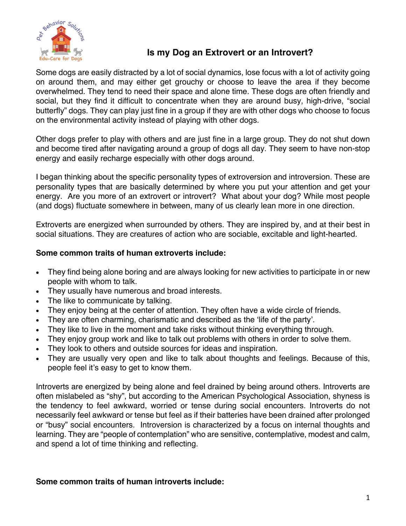

## **Is my Dog an Extrovert or an Introvert?**

Some dogs are easily distracted by a lot of social dynamics, lose focus with a lot of activity going on around them, and may either get grouchy or choose to leave the area if they become overwhelmed. They tend to need their space and alone time. These dogs are often friendly and social, but they find it difficult to concentrate when they are around busy, high-drive, "social butterfly" dogs. They can play just fine in a group if they are with other dogs who choose to focus on the environmental activity instead of playing with other dogs.

Other dogs prefer to play with others and are just fine in a large group. They do not shut down and become tired after navigating around a group of dogs all day. They seem to have non-stop energy and easily recharge especially with other dogs around.

I began thinking about the specific personality types of extroversion and introversion. These are personality types that are basically determined by where you put your attention and get your energy. Are you more of an extrovert or introvert? What about your dog? While most people (and dogs) fluctuate somewhere in between, many of us clearly lean more in one direction.

Extroverts are energized when surrounded by others. They are inspired by, and at their best in social situations. They are creatures of action who are sociable, excitable and light-hearted.

## **Some common traits of human extroverts include:**

- They find being alone boring and are always looking for new activities to participate in or new people with whom to talk.
- They usually have numerous and broad interests.
- The like to communicate by talking.
- They enjoy being at the center of attention. They often have a wide circle of friends.
- They are often charming, charismatic and described as the 'life of the party'.
- They like to live in the moment and take risks without thinking everything through.
- They enjoy group work and like to talk out problems with others in order to solve them.
- They look to others and outside sources for ideas and inspiration.
- They are usually very open and like to talk about thoughts and feelings. Because of this, people feel it's easy to get to know them.

Introverts are energized by being alone and feel drained by being around others. Introverts are often mislabeled as "shy", but according to the American Psychological Association, shyness is the tendency to feel awkward, worried or tense during social encounters. Introverts do not necessarily feel awkward or tense but feel as if their batteries have been drained after prolonged or "busy" social encounters. Introversion is characterized by a focus on internal thoughts and learning. They are "people of contemplation" who are sensitive, contemplative, modest and calm, and spend a lot of time thinking and reflecting.

## **Some common traits of human introverts include:**